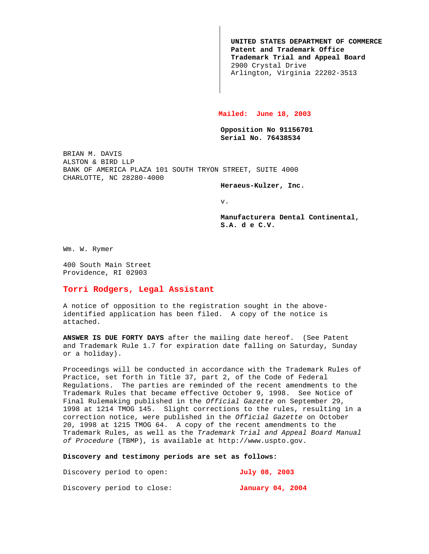**UNITED STATES DEPARTMENT OF COMMERCE Patent and Trademark Office Trademark Trial and Appeal Board** 2900 Crystal Drive Arlington, Virginia 22202-3513

## **Mailed: June 18, 2003**

**Opposition No 91156701 Serial No. 76438534**

BRIAN M. DAVIS ALSTON & BIRD LLP BANK OF AMERICA PLAZA 101 SOUTH TRYON STREET, SUITE 4000 CHARLOTTE, NC 28280-4000

**Heraeus-Kulzer, Inc.**

v.

**Manufacturera Dental Continental, S.A. d e C.V.**

Wm. W. Rymer

400 South Main Street Providence, RI 02903

## **Torri Rodgers, Legal Assistant**

A notice of opposition to the registration sought in the aboveidentified application has been filed. A copy of the notice is attached.

**ANSWER IS DUE FORTY DAYS** after the mailing date hereof. (See Patent and Trademark Rule 1.7 for expiration date falling on Saturday, Sunday or a holiday).

Proceedings will be conducted in accordance with the Trademark Rules of Practice, set forth in Title 37, part 2, of the Code of Federal Regulations. The parties are reminded of the recent amendments to the Trademark Rules that became effective October 9, 1998. See Notice of Final Rulemaking published in the Official Gazette on September 29, 1998 at 1214 TMOG 145. Slight corrections to the rules, resulting in a correction notice, were published in the Official Gazette on October 20, 1998 at 1215 TMOG 64. A copy of the recent amendments to the Trademark Rules, as well as the Trademark Trial and Appeal Board Manual of Procedure (TBMP), is available at http://www.uspto.gov.

## **Discovery and testimony periods are set as follows:**

| Discovery period to open:  |  | July 08, 2003    |  |  |
|----------------------------|--|------------------|--|--|
| Discovery period to close: |  | January 04, 2004 |  |  |